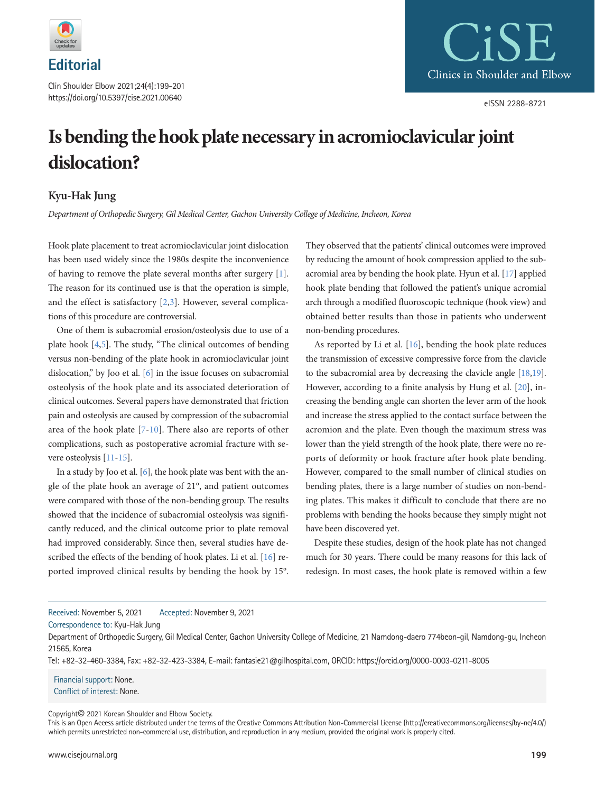

Clin Shoulder Elbow 2021;24(4):199-201 https://doi.org/10.5397/cise.2021.00640



## **Is bending the hook plate necessary in acromioclavicular joint dislocation?**

## **Kyu-Hak Jung**

*Department of Orthopedic Surgery, Gil Medical Center, Gachon University College of Medicine, Incheon, Korea* 

Hook plate placement to treat acromioclavicular joint dislocation has been used widely since the 1980s despite the inconvenience of having to remove the plate several months after surgery [\[1\]](#page-1-0). The reason for its continued use is that the operation is simple, and the effect is satisfactory [\[2,](#page-1-1)[3](#page-1-2)]. However, several complications of this procedure are controversial.

One of them is subacromial erosion/osteolysis due to use of a plate hook [\[4](#page-1-3)[,5\]](#page-1-4). The study, "The clinical outcomes of bending versus non-bending of the plate hook in acromioclavicular joint dislocation," by Joo et al. [\[6](#page-1-5)] in the issue focuses on subacromial osteolysis of the hook plate and its associated deterioration of clinical outcomes. Several papers have demonstrated that friction pain and osteolysis are caused by compression of the subacromial area of the hook plate [\[7](#page-1-6)[-10\]](#page-1-7). There also are reports of other complications, such as postoperative acromial fracture with severe osteolysis [\[11](#page-1-8)[-15](#page-1-9)].

In a study by Joo et al. [\[6\]](#page-1-5), the hook plate was bent with the angle of the plate hook an average of 21°, and patient outcomes were compared with those of the non-bending group. The results showed that the incidence of subacromial osteolysis was significantly reduced, and the clinical outcome prior to plate removal had improved considerably. Since then, several studies have described the effects of the bending of hook plates. Li et al. [\[16\]](#page-1-10) reported improved clinical results by bending the hook by 15°. They observed that the patients' clinical outcomes were improved by reducing the amount of hook compression applied to the subacromial area by bending the hook plate. Hyun et al. [\[17](#page-1-11)] applied hook plate bending that followed the patient's unique acromial arch through a modified fluoroscopic technique (hook view) and obtained better results than those in patients who underwent non-bending procedures.

As reported by Li et al. [\[16](#page-1-10)], bending the hook plate reduces the transmission of excessive compressive force from the clavicle to the subacromial area by decreasing the clavicle angle [\[18,](#page-1-12)[19\]](#page-1-13). However, according to a finite analysis by Hung et al. [\[20\]](#page-2-0), increasing the bending angle can shorten the lever arm of the hook and increase the stress applied to the contact surface between the acromion and the plate. Even though the maximum stress was lower than the yield strength of the hook plate, there were no reports of deformity or hook fracture after hook plate bending. However, compared to the small number of clinical studies on bending plates, there is a large number of studies on non-bending plates. This makes it difficult to conclude that there are no problems with bending the hooks because they simply might not have been discovered yet.

Despite these studies, design of the hook plate has not changed much for 30 years. There could be many reasons for this lack of redesign. In most cases, the hook plate is removed within a few

Received: November 5, 2021 Accepted: November 9, 2021

Correspondence to: Kyu-Hak Jung

Tel: +82-32-460-3384, Fax: +82-32-423-3384, E-mail: fantasie21@gilhospital.com, ORCID: https://orcid.org/0000-0003-0211-8005

Financial support: None. Conflict of interest: None.

Copyright© 2021 Korean Shoulder and Elbow Society.

Department of Orthopedic Surgery, Gil Medical Center, Gachon University College of Medicine, 21 Namdong-daero 774beon-gil, Namdong-gu, Incheon 21565, Korea

This is an Open Access article distributed under the terms of the Creative Commons Attribution Non-Commercial License (http://creativecommons.org/licenses/by-nc/4.0/) which permits unrestricted non-commercial use, distribution, and reproduction in any medium, provided the original work is properly cited.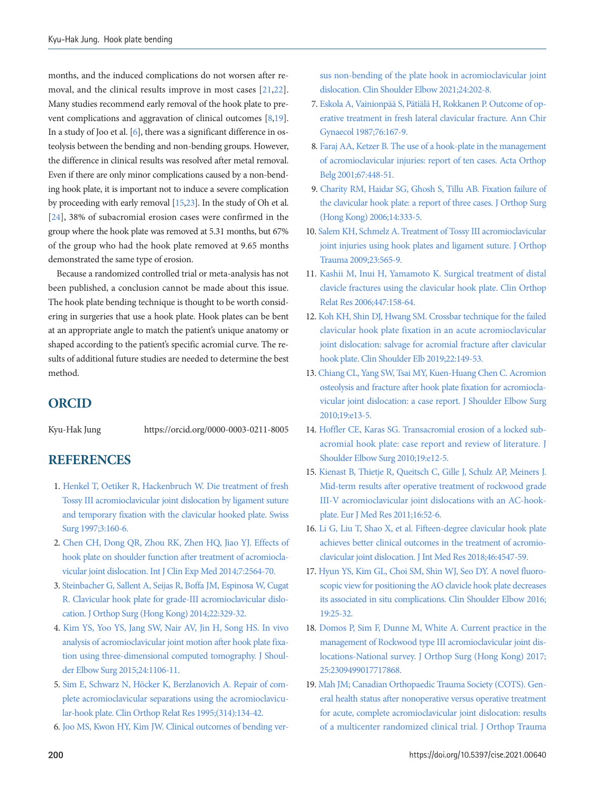months, and the induced complications do not worsen after removal, and the clinical results improve in most cases [\[21](#page-2-1)[,22\]](#page-2-2). Many studies recommend early removal of the hook plate to prevent complications and aggravation of clinical outcomes [\[8,](#page-1-14)[19\]](#page-1-9). In a study of Joo et al. [\[6\]](#page-1-15), there was a significant difference in osteolysis between the bending and non-bending groups. However, the difference in clinical results was resolved after metal removal. Even if there are only minor complications caused by a non-bending hook plate, it is important not to induce a severe complication by proceeding with early removal [\[15](#page-1-10)[,23\]](#page-2-3). In the study of Oh et al. [\[24\]](#page-2-4), 38% of subacromial erosion cases were confirmed in the group where the hook plate was removed at 5.31 months, but 67% of the group who had the hook plate removed at 9.65 months demonstrated the same type of erosion.

Because a randomized controlled trial or meta-analysis has not been published, a conclusion cannot be made about this issue. The hook plate bending technique is thought to be worth considering in surgeries that use a hook plate. Hook plates can be bent at an appropriate angle to match the patient's unique anatomy or shaped according to the patient's specific acromial curve. The results of additional future studies are needed to determine the best method.

## **ORCID**

Kyu-Hak Jung https://orcid.org/0000-0003-0211-8005

## **REFERENCES**

- <span id="page-1-0"></span>1. [Henkel T, Oetiker R, Hackenbruch W. Die treatment of fresh](https://www.ncbi.nlm.nih.gov/pubmed/9340131)  [Tossy III acromioclavicular joint dislocation by ligament suture](https://www.ncbi.nlm.nih.gov/pubmed/9340131)  [and temporary fixation with the clavicular hooked plate. Swiss](https://www.ncbi.nlm.nih.gov/pubmed/9340131)  [Surg 1997;3:160-6.](https://www.ncbi.nlm.nih.gov/pubmed/9340131)
- <span id="page-1-1"></span>2. [Chen CH, Dong QR, Zhou RK, Zhen HQ, Jiao YJ. Effects of](https://www.ncbi.nlm.nih.gov/pubmed/25356110)  [hook plate on shoulder function after treatment of acromiocla](https://www.ncbi.nlm.nih.gov/pubmed/25356110)[vicular joint dislocation. Int J Clin Exp Med 2014;7:2564-70.](https://www.ncbi.nlm.nih.gov/pubmed/25356110)
- <span id="page-1-2"></span>3. [Steinbacher G, Sallent A, Seijas R, Boffa JM, Espinosa W, Cugat](https://doi.org/10.1177/230949901402200312)  [R. Clavicular hook plate for grade-III acromioclavicular dislo](https://doi.org/10.1177/230949901402200312)[cation. J Orthop Surg \(Hong Kong\) 2014;22:329-32.](https://doi.org/10.1177/230949901402200312)
- <span id="page-1-3"></span>[4. Kim YS, Yoo YS, Jang SW, Nair AV, Jin H, Song HS. In vivo](https://www.ncbi.nlm.nih.gov/pubmed/25618464)  [analysis of acromioclavicular joint motion after hook plate fixa](https://www.ncbi.nlm.nih.gov/pubmed/25618464)[tion using three-dimensional computed tomography. J Shoul](https://www.ncbi.nlm.nih.gov/pubmed/25618464)[der Elbow Surg 2015;24:1106-11.](https://www.ncbi.nlm.nih.gov/pubmed/25618464)
- <span id="page-1-4"></span>[5. Sim E, Schwarz N, Höcker K, Berzlanovich A. Repair of com](https://doi.org/10.1097/00003086-199505000-00017)[plete acromioclavicular separations using the acromioclavicu](https://doi.org/10.1097/00003086-199505000-00017)[lar-hook plate. Clin Orthop Relat Res 1995;\(314\):134-42.](https://doi.org/10.1097/00003086-199505000-00017)
- <span id="page-1-15"></span><span id="page-1-5"></span>6. [Joo MS, Kwon HY, Kim JW. Clinical outcomes of bending ver-](https://doi.org/10.5397/cise.2021.00423)

[sus non-bending of the plate hook in acromioclavicular joint](https://doi.org/10.5397/cise.2021.00423)  [dislocation. Clin Shoulder Elbow 2021;24:202-8.](https://doi.org/10.5397/cise.2021.00423) 

- <span id="page-1-6"></span>[7. Eskola A, Vainionpää S, Pätiälä H, Rokkanen P. Outcome of op](https://www.ncbi.nlm.nih.gov/pubmed/3674727)[erative treatment in fresh lateral clavicular fracture. Ann Chir](https://www.ncbi.nlm.nih.gov/pubmed/3674727)  [Gynaecol 1987;76:167-9](https://www.ncbi.nlm.nih.gov/pubmed/3674727).
- <span id="page-1-14"></span>[8. Faraj AA, Ketzer B. The use of a hook-plate in the management](https://www.ncbi.nlm.nih.gov/pubmed/11822073)  [of acromioclavicular injuries: report of ten cases. Acta Orthop](https://www.ncbi.nlm.nih.gov/pubmed/11822073)  [Belg 2001;67:448-51](https://www.ncbi.nlm.nih.gov/pubmed/11822073).
- 9. [Charity RM, Haidar SG, Ghosh S, Tillu AB. Fixation failure of](https://doi.org/10.1177/230949900601400320)  [the clavicular hook plate: a report of three cases. J Orthop Surg](https://doi.org/10.1177/230949900601400320)  [\(Hong Kong\) 2006;14:333-5.](https://doi.org/10.1177/230949900601400320)
- <span id="page-1-7"></span>1[0. Salem KH, Schmelz A. Treatment of Tossy III acromioclavicular](https://doi.org/10.1097/bot.0b013e3181971b38)  [joint injuries using hook plates and ligament suture. J Orthop](https://doi.org/10.1097/bot.0b013e3181971b38)  [Trauma 2009;23:565-9.](https://doi.org/10.1097/bot.0b013e3181971b38)
- <span id="page-1-8"></span>1[1. Kashii M, Inui H, Yamamoto K. Surgical treatment of distal](https://doi.org/10.1097/01.blo.0000203469.66055.6a)  [clavicle fractures using the clavicular hook plate. Clin Orthop](https://doi.org/10.1097/01.blo.0000203469.66055.6a)  [Relat Res 2006;447:158-64.](https://doi.org/10.1097/01.blo.0000203469.66055.6a)
- 12. [Koh KH, Shin DJ, Hwang SM. Crossbar technique for the failed](https://doi.org/10.5397/cise.2019.22.3.149)  [clavicular hook plate fixation in an acute acromioclavicular](https://doi.org/10.5397/cise.2019.22.3.149)  [joint dislocation: salvage for acromial fracture after clavicular](https://doi.org/10.5397/cise.2019.22.3.149)  [hook plate. Clin Shoulder Elb 2019;22:149-53.](https://doi.org/10.5397/cise.2019.22.3.149)
- 13. [Chiang CL, Yang SW, Tsai MY, Kuen-Huang Chen C. Acromion](https://doi.org/10.1016/j.jse.2009.12.005)  [osteolysis and fracture after hook plate fixation for acromiocla](https://doi.org/10.1016/j.jse.2009.12.005)[vicular joint dislocation: a case report. J Shoulder Elbow Surg](https://doi.org/10.1016/j.jse.2009.12.005)  [2010;19:e13-5.](https://doi.org/10.1016/j.jse.2009.12.005)
- <span id="page-1-10"></span>14. Hoffler CE, Ka[ras SG. Transacromial erosion of a locked sub](https://doi.org/10.1016/j.jse.2009.10.019)[acromial hook plate: case report and review of literature. J](https://doi.org/10.1016/j.jse.2009.10.019)  [Shoulder Elbow Surg 2010;19:e12-5.](https://doi.org/10.1016/j.jse.2009.10.019)
- <span id="page-1-9"></span>15. Kienast [B, Thietje R, Queitsch C, Gille J, Schulz AP, Meiners J.](https://doi.org/10.1186/2047-783x-16-2-52)  [Mid-term results after operative treatment of rockwood grade](https://doi.org/10.1186/2047-783x-16-2-52)  [III-V acromioclavicular joint dislocations with an AC-hook](https://doi.org/10.1186/2047-783x-16-2-52)[plate. Eur J Med Res 2011;16:52-6.](https://doi.org/10.1186/2047-783x-16-2-52)
- 16. [Li G, Liu T, Shao X, et al. Fifteen-degree clavicular hook plate](https://doi.org/10.1177/0300060518786910)  [achieves better clinical outcomes in the treatment of acromio](https://doi.org/10.1177/0300060518786910)[clavicular joint dislocation. J Int Med Res 2018;46:4547-59.](https://doi.org/10.1177/0300060518786910)
- <span id="page-1-11"></span>1[7. Hyun YS, Kim GL, Choi SM, Shin WJ, Seo DY. A novel fluoro](https://doi.org/10.5397/cise.2016.19.1.25)[scopic view for positioning the AO clavicle hook plate decreases](https://doi.org/10.5397/cise.2016.19.1.25)  [its associated in situ complications. Clin Shoulder Elbow 2016;](https://doi.org/10.5397/cise.2016.19.1.25) [19:25-32](https://doi.org/10.5397/cise.2016.19.1.25).
- <span id="page-1-12"></span>1[8. Domos P, Sim F, Dunne M, White A. Current practice in the](https://doi.org/10.1177/2309499017717868)  [management of Rockwood type III acromioclavicular joint dis](https://doi.org/10.1177/2309499017717868)[locations-National survey. J Orthop Surg \(Hong Kong\) 2017;](https://doi.org/10.1177/2309499017717868) [25:2309499017717868](https://doi.org/10.1177/2309499017717868).
- <span id="page-1-13"></span>1[9. Mah JM; Canadian Orthopaedic Trauma Society \(COTS\). Gen](https://doi.org/10.1097/bot.0000000000000881)[eral health status after nonoperative versus operative treatment](https://doi.org/10.1097/bot.0000000000000881)  [for acute, complete acromioclavicular joint dislocation: results](https://doi.org/10.1097/bot.0000000000000881)  [of a multicenter randomized clinical trial.](https://doi.org/10.1097/bot.0000000000000881) J Orthop Trauma